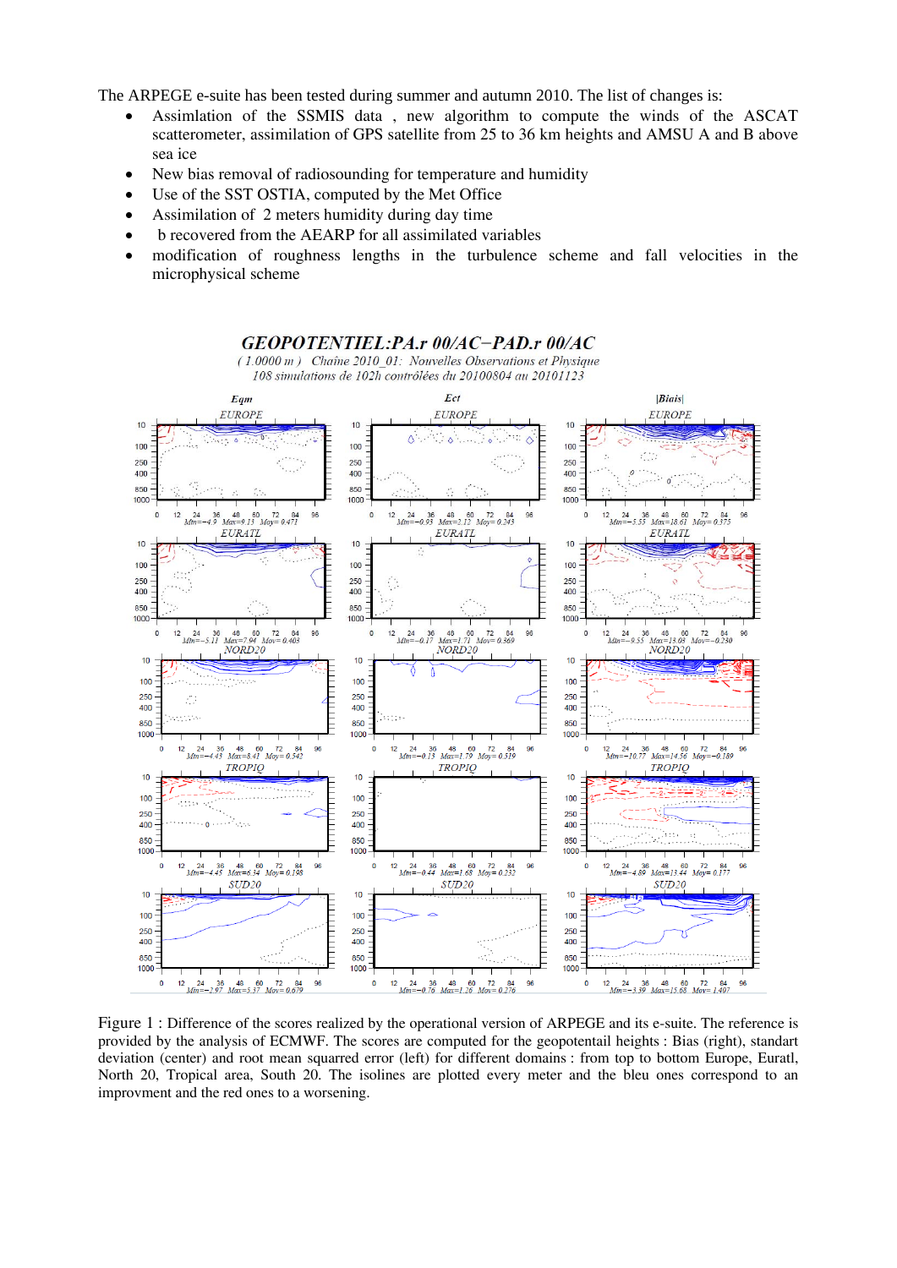The ARPEGE e-suite has been tested during summer and autumn 2010. The list of changes is:

- Assimlation of the SSMIS data , new algorithm to compute the winds of the ASCAT scatterometer, assimilation of GPS satellite from 25 to 36 km heights and AMSU A and B above sea ice
- New bias removal of radiosounding for temperature and humidity
- Use of the SST OSTIA, computed by the Met Office
- Assimilation of 2 meters humidity during day time
- b recovered from the AEARP for all assimilated variables
- modification of roughness lengths in the turbulence scheme and fall velocities in the microphysical scheme



Figure 1 : Difference of the scores realized by the operational version of ARPEGE and its e-suite. The reference is provided by the analysis of ECMWF. The scores are computed for the geopotentail heights : Bias (right), standart deviation (center) and root mean squarred error (left) for different domains : from top to bottom Europe, Euratl, North 20, Tropical area, South 20. The isolines are plotted every meter and the bleu ones correspond to an improvment and the red ones to a worsening.